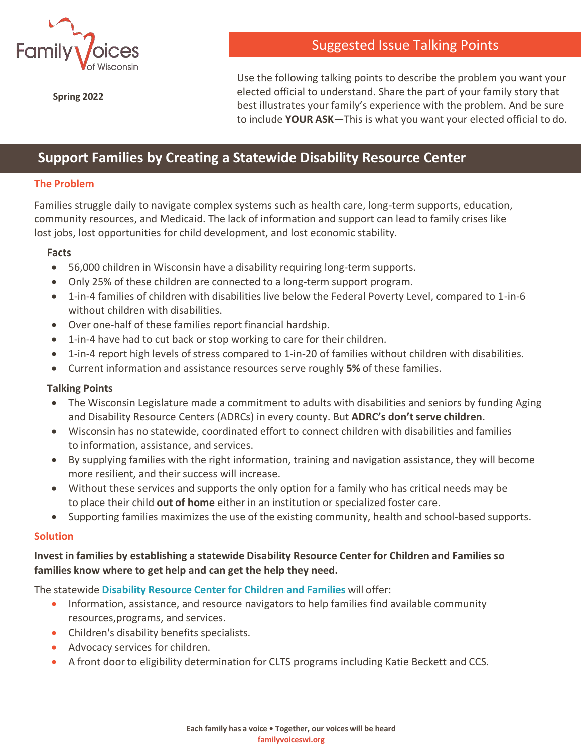

**Spring 2022**

Suggested Issue Talking Points

Use the following talking points to describe the problem you want your elected official to understand. Share the part of your family story that best illustrates your family's experience with the problem. And be sure to include **YOUR ASK**—This is what you want your elected official to do.

# **Support Families by Creating a Statewide Disability Resource Center**

## **The Problem**

Families struggle daily to navigate complex systems such as health care, long-term supports, education, community resources, and Medicaid. The lack of information and support can lead to family crises like lost jobs, lost opportunities for child development, and lost economic stability.

### **Facts**

- 56,000 children in Wisconsin have a disability requiring long-term supports.
- Only 25% of these children are connected to a long-term support program.
- 1-in-4 families of children with disabilities live below the Federal Poverty Level, compared to 1-in-6 without children with disabilities.
- Over one-half of these families report financial hardship.
- 1-in-4 have had to cut back or stop working to care for their children.
- 1-in-4 report high levels of stress compared to 1-in-20 of families without children with disabilities.
- Current information and assistance resources serve roughly **5%** of these families.

### **Talking Points**

- The Wisconsin Legislature made a commitment to adults with disabilities and seniors by funding Aging and Disability Resource Centers (ADRCs) in every county. But **ADRC's don'tserve children**.
- Wisconsin has no statewide, coordinated effort to connect children with disabilities and families to information, assistance, and services.
- By supplying families with the right information, training and navigation assistance, they will become more resilient, and their success will increase.
- Without these services and supports the only option for a family who has critical needs may be to place their child **out of home** either in an institution or specialized foster care.
- Supporting families maximizes the use of the existing community, health and school-based supports.

#### **Solution**

# **Invest in families by establishing a statewide Disability Resource Center for Children and Families so families know where to get help and can get the help they need.**

The statewide **[Disability](https://familyvoiceswi.org/about-us/policymaking/disability-resource-centers-for-children-and-families/) Resource Center for Children and Families** will offer:

- Information, assistance, and resource navigators to help families find available community resources,programs, and services.
- Children's disability benefits specialists.
- Advocacy services for children.
- A front door to eligibility determination for CLTS programs including Katie Beckett and CCS.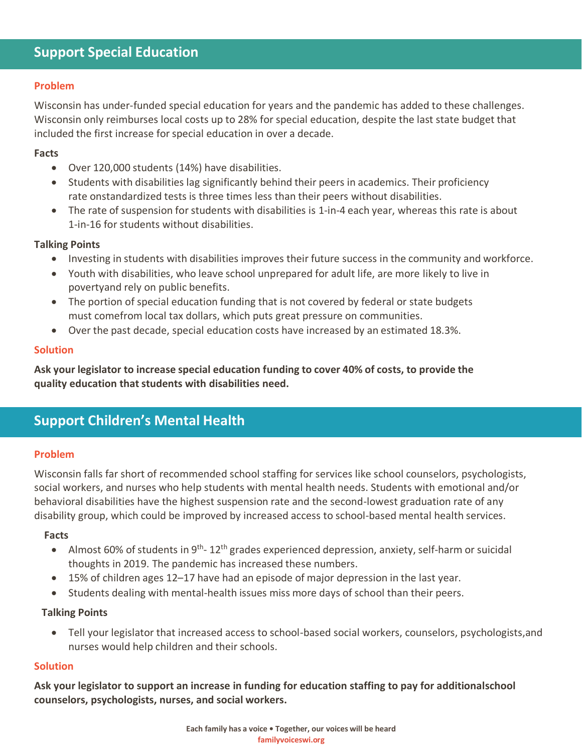### **Problem**

Wisconsin has under-funded special education for years and the pandemic has added to these challenges. Wisconsin only reimburses local costs up to 28% for special education, despite the last state budget that included the first increase for special education in over a decade.

## **Facts**

- Over 120,000 students (14%) have disabilities.
- Students with disabilities lag significantly behind their peers in academics. Their proficiency rate onstandardized tests is three times less than their peers without disabilities.
- The rate of suspension for students with disabilities is 1-in-4 each year, whereas this rate is about 1-in-16 forstudents without disabilities.

## **Talking Points**

- Investing in students with disabilities improves their future success in the community and workforce.
- Youth with disabilities, who leave school unprepared for adult life, are more likely to live in povertyand rely on public benefits.
- The portion of special education funding that is not covered by federal or state budgets must comefrom local tax dollars, which puts great pressure on communities.
- Over the past decade, special education costs have increased by an estimated 18.3%.

## **Solution**

**Ask your legislator to increase special education funding to cover 40% of costs, to provide the quality education thatstudents with disabilities need.**

# **Support Children's Mental Health**

### **Problem**

Wisconsin falls far short of recommended school staffing for services like school counselors, psychologists, social workers, and nurses who help students with mental health needs. Students with emotional and/or behavioral disabilities have the highest suspension rate and the second-lowest graduation rate of any disability group, which could be improved by increased access to school-based mental health services.

### **Facts**

- Almost 60% of students in 9<sup>th</sup>-12<sup>th</sup> grades experienced depression, anxiety, self-harm or suicidal thoughts in 2019. The pandemic has increased these numbers.
- 15% of children ages 12–17 have had an episode of major depression in the last year.
- Students dealing with mental-health issues miss more days of school than their peers.

### **Talking Points**

• Tell your legislator that increased access to school-based social workers, counselors, psychologists,and nurses would help children and their schools.

### **Solution**

**Ask your legislator to support an increase in funding for education staffing to pay for additionalschool counselors, psychologists, nurses, and social workers.**